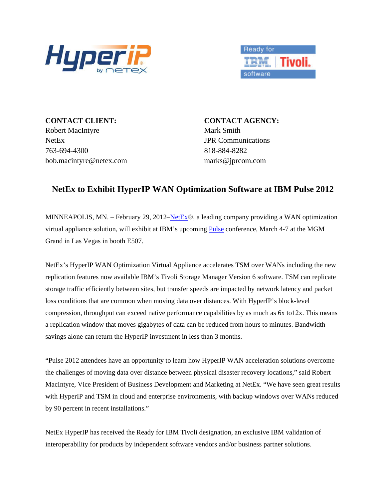



**CONTACT CLIENT: CONTACT AGENCY:** Robert MacIntyre Mark Smith NetEx JPR Communications 763-694-4300 818-884-8282 bob.macintyre@netex.com marks@jprcom.com

## **NetEx to Exhibit HyperIP WAN Optimization Software at IBM Pulse 2012**

MINNEAPOLIS, MN. – February 29, 2012[–NetEx](http://www.netex.com/)®, a leading company providing a WAN optimization virtual appliance solution, will exhibit at IBM's upcoming [Pulse](http://www-01.ibm.com/software/tivoli/pulse/index.html) conference, March 4-7 at the MGM Grand in Las Vegas in booth E507.

NetEx's HyperIP WAN Optimization Virtual Appliance accelerates TSM over WANs including the new replication features now available IBM's Tivoli Storage Manager Version 6 software. TSM can replicate storage traffic efficiently between sites, but transfer speeds are impacted by network latency and packet loss conditions that are common when moving data over distances. With HyperIP's block-level compression, throughput can exceed native performance capabilities by as much as 6x to12x. This means a replication window that moves gigabytes of data can be reduced from hours to minutes. Bandwidth savings alone can return the HyperIP investment in less than 3 months.

"Pulse 2012 attendees have an opportunity to learn how HyperIP WAN acceleration solutions overcome the challenges of moving data over distance between physical disaster recovery locations," said Robert MacIntyre, Vice President of Business Development and Marketing at NetEx. "We have seen great results with HyperIP and TSM in cloud and enterprise environments, with backup windows over WANs reduced by 90 percent in recent installations."

NetEx HyperIP has received the Ready for IBM Tivoli designation, an exclusive IBM validation of interoperability for products by independent software vendors and/or business partner solutions.